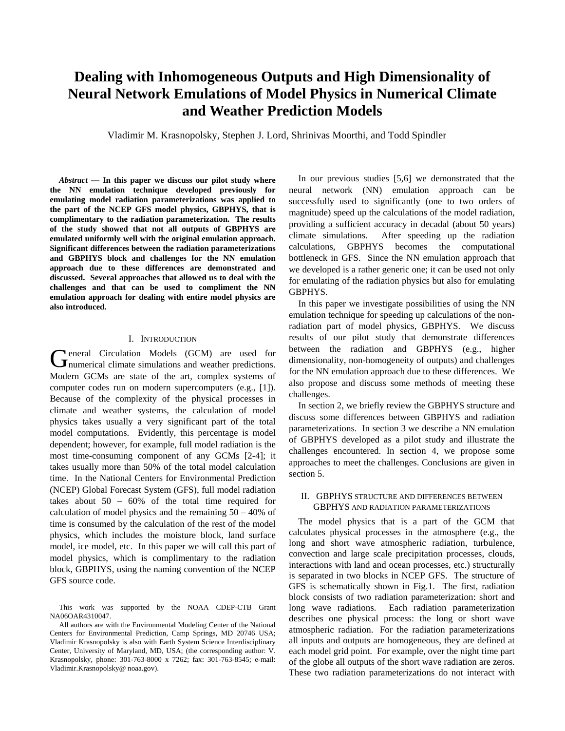# **Dealing with Inhomogeneous Outputs and High Dimensionality of Neural Network Emulations of Model Physics in Numerical Climate and Weather Prediction Models**

Vladimir M. Krasnopolsky, Stephen J. Lord, Shrinivas Moorthi, and Todd Spindler

*Abstract* **— In this paper we discuss our pilot study where the NN emulation technique developed previously for emulating model radiation parameterizations was applied to the part of the NCEP GFS model physics, GBPHYS, that is complimentary to the radiation parameterization. The results of the study showed that not all outputs of GBPHYS are emulated uniformly well with the original emulation approach. Significant differences between the radiation parameterizations and GBPHYS block and challenges for the NN emulation approach due to these differences are demonstrated and discussed. Several approaches that allowed us to deal with the challenges and that can be used to compliment the NN emulation approach for dealing with entire model physics are also introduced.** 

#### I. INTRODUCTION

eneral Circulation Models (GCM) are used for General Circulation Models (GCM) are used for numerical climate simulations and weather predictions. Modern GCMs are state of the art, complex systems of computer codes run on modern supercomputers (e.g., [1]). Because of the complexity of the physical processes in climate and weather systems, the calculation of model physics takes usually a very significant part of the total model computations. Evidently, this percentage is model dependent; however, for example, full model radiation is the most time-consuming component of any GCMs [2-4]; it takes usually more than 50% of the total model calculation time. In the National Centers for Environmental Prediction (NCEP) Global Forecast System (GFS), full model radiation takes about 50 – 60% of the total time required for calculation of model physics and the remaining 50 – 40% of time is consumed by the calculation of the rest of the model physics, which includes the moisture block, land surface model, ice model, etc. In this paper we will call this part of model physics, which is complimentary to the radiation block, GBPHYS, using the naming convention of the NCEP GFS source code.

This work was supported by the NOAA CDEP-CTB Grant NA06OAR4310047.

All authors are with the Environmental Modeling Center of the National Centers for Environmental Prediction, Camp Springs, MD 20746 USA; Vladimir Krasnopolsky is also with Earth System Science Interdisciplinary Center, University of Maryland, MD, USA; (the corresponding author: V. Krasnopolsky, phone: 301-763-8000 x 7262; fax: 301-763-8545; e-mail: Vladimir.Krasnopolsky@ noaa.gov).

 In our previous studies [5,6] we demonstrated that the neural network (NN) emulation approach can be successfully used to significantly (one to two orders of magnitude) speed up the calculations of the model radiation, providing a sufficient accuracy in decadal (about 50 years) climate simulations. After speeding up the radiation calculations, GBPHYS becomes the computational bottleneck in GFS. Since the NN emulation approach that we developed is a rather generic one; it can be used not only for emulating of the radiation physics but also for emulating GBPHYS.

In this paper we investigate possibilities of using the NN emulation technique for speeding up calculations of the nonradiation part of model physics, GBPHYS. We discuss results of our pilot study that demonstrate differences between the radiation and GBPHYS (e.g., higher dimensionality, non-homogeneity of outputs) and challenges for the NN emulation approach due to these differences. We also propose and discuss some methods of meeting these challenges.

In section 2, we briefly review the GBPHYS structure and discuss some differences between GBPHYS and radiation parameterizations. In section 3 we describe a NN emulation of GBPHYS developed as a pilot study and illustrate the challenges encountered. In section 4, we propose some approaches to meet the challenges. Conclusions are given in section 5.

## II. GBPHYS STRUCTURE AND DIFFERENCES BETWEEN GBPHYS AND RADIATION PARAMETERIZATIONS

The model physics that is a part of the GCM that calculates physical processes in the atmosphere (e.g., the long and short wave atmospheric radiation, turbulence, convection and large scale precipitation processes, clouds, interactions with land and ocean processes, etc.) structurally is separated in two blocks in NCEP GFS. The structure of GFS is schematically shown in Fig.1. The first, radiation block consists of two radiation parameterization: short and long wave radiations. Each radiation parameterization describes one physical process: the long or short wave atmospheric radiation. For the radiation parameterizations all inputs and outputs are homogeneous, they are defined at each model grid point. For example, over the night time part of the globe all outputs of the short wave radiation are zeros. These two radiation parameterizations do not interact with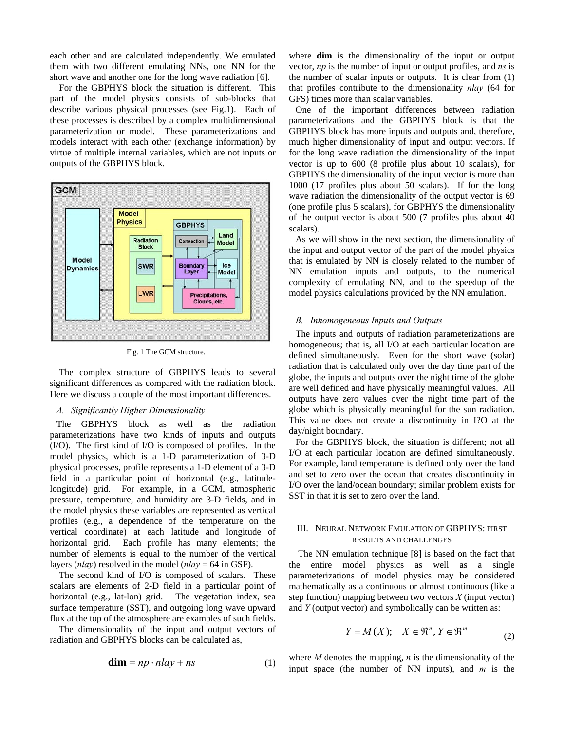each other and are calculated independently. We emulated them with two different emulating NNs, one NN for the short wave and another one for the long wave radiation [6].

For the GBPHYS block the situation is different. This part of the model physics consists of sub-blocks that describe various physical processes (see Fig.1). Each of these processes is described by a complex multidimensional parameterization or model. These parameterizations and models interact with each other (exchange information) by virtue of multiple internal variables, which are not inputs or outputs of the GBPHYS block.



Fig. 1 The GCM structure.

The complex structure of GBPHYS leads to several significant differences as compared with the radiation block. Here we discuss a couple of the most important differences.

## *A. Significantly Higher Dimensionality*

The GBPHYS block as well as the radiation parameterizations have two kinds of inputs and outputs (I/O). The first kind of I/O is composed of profiles. In the model physics, which is a 1-D parameterization of 3-D physical processes, profile represents a 1-D element of a 3-D field in a particular point of horizontal (e.g., latitudelongitude) grid. For example, in a GCM, atmospheric pressure, temperature, and humidity are 3-D fields, and in the model physics these variables are represented as vertical profiles (e.g., a dependence of the temperature on the vertical coordinate) at each latitude and longitude of horizontal grid. Each profile has many elements; the number of elements is equal to the number of the vertical layers (*nlay*) resolved in the model (*nlay* = 64 in GSF).

 The second kind of I/O is composed of scalars. These scalars are elements of 2-D field in a particular point of horizontal (e.g., lat-lon) grid. The vegetation index, sea surface temperature (SST), and outgoing long wave upward flux at the top of the atmosphere are examples of such fields.

 The dimensionality of the input and output vectors of radiation and GBPHYS blocks can be calculated as,

$$
\dim = np \cdot n \, \log n \tag{1}
$$

where **dim** is the dimensionality of the input or output vector, *np* is the number of input or output profiles, and *ns* is the number of scalar inputs or outputs. It is clear from (1) that profiles contribute to the dimensionality *nlay* (64 for GFS) times more than scalar variables.

One of the important differences between radiation parameterizations and the GBPHYS block is that the GBPHYS block has more inputs and outputs and, therefore, much higher dimensionality of input and output vectors. If for the long wave radiation the dimensionality of the input vector is up to 600 (8 profile plus about 10 scalars), for GBPHYS the dimensionality of the input vector is more than 1000 (17 profiles plus about 50 scalars). If for the long wave radiation the dimensionality of the output vector is 69 (one profile plus 5 scalars), for GBPHYS the dimensionality of the output vector is about 500 (7 profiles plus about 40 scalars).

As we will show in the next section, the dimensionality of the input and output vector of the part of the model physics that is emulated by NN is closely related to the number of NN emulation inputs and outputs, to the numerical complexity of emulating NN, and to the speedup of the model physics calculations provided by the NN emulation.

#### *B. Inhomogeneous Inputs and Outputs*

The inputs and outputs of radiation parameterizations are homogeneous; that is, all I/O at each particular location are defined simultaneously. Even for the short wave (solar) radiation that is calculated only over the day time part of the globe, the inputs and outputs over the night time of the globe are well defined and have physically meaningful values. All outputs have zero values over the night time part of the globe which is physically meaningful for the sun radiation. This value does not create a discontinuity in I?O at the day/night boundary.

For the GBPHYS block, the situation is different; not all I/O at each particular location are defined simultaneously. For example, land temperature is defined only over the land and set to zero over the ocean that creates discontinuity in I/O over the land/ocean boundary; similar problem exists for SST in that it is set to zero over the land.

## III. NEURAL NETWORK EMULATION OF GBPHYS: FIRST RESULTS AND CHALLENGES

The NN emulation technique [8] is based on the fact that the entire model physics as well as a single parameterizations of model physics may be considered mathematically as a continuous or almost continuous (like a step function) mapping between two vectors *X* (input vector) and *Y* (output vector) and symbolically can be written as:

$$
Y = M(X); \quad X \in \mathfrak{R}^n, Y \in \mathfrak{R}^m
$$
 (2)

where *M* denotes the mapping, *n* is the dimensionality of the input space (the number of NN inputs), and *m* is the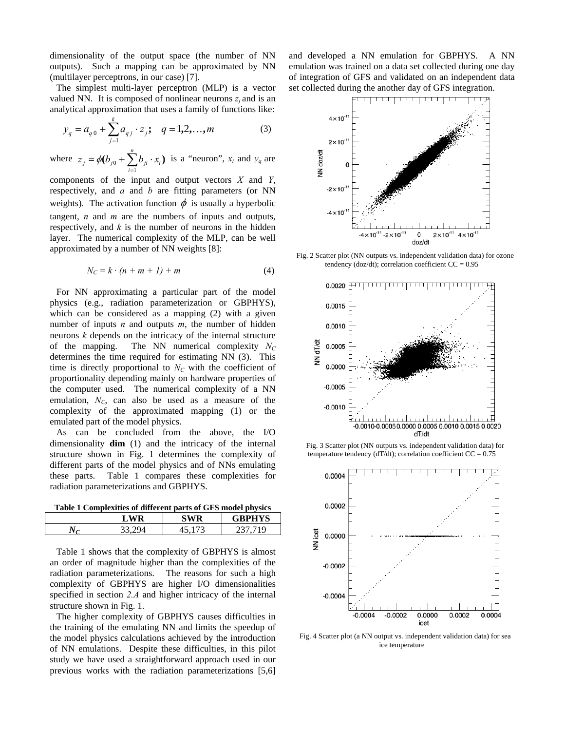dimensionality of the output space (the number of NN outputs). Such a mapping can be approximated by NN (multilayer perceptrons, in our case) [7].

The simplest multi-layer perceptron (MLP) is a vector valued NN. It is composed of nonlinear neurons  $z_i$  and is an analytical approximation that uses a family of functions like:

$$
y_q = a_{q0} + \sum_{j=1}^{k} a_{qj} \cdot z_j; \quad q = 1, 2, ..., m
$$
 (3)

where  $z_j = \phi(b_{j0} + \sum_{i=1}^{n} b_{ji}$ .  $z_j = \phi(b_{j0} + \sum_{i=1}^{j} b_{ji} \cdot x_i)$  is a "neuron",  $x_i$  and  $y_q$  are

components of the input and output vectors *X* and *Y*, respectively, and *a* and *b* are fitting parameters (or NN weights). The activation function  $\phi$  is usually a hyperbolic tangent, *n* and *m* are the numbers of inputs and outputs, respectively, and *k* is the number of neurons in the hidden layer. The numerical complexity of the MLP, can be well approximated by a number of NN weights [8]:

$$
N_C = k \cdot (n + m + 1) + m \tag{4}
$$

For NN approximating a particular part of the model physics (e.g., radiation parameterization or GBPHYS), which can be considered as a mapping (2) with a given number of inputs *n* and outputs *m*, the number of hidden neurons *k* depends on the intricacy of the internal structure of the mapping. The NN numerical complexity  $N_C$ determines the time required for estimating NN (3). This time is directly proportional to  $N_c$  with the coefficient of proportionality depending mainly on hardware properties of the computer used. The numerical complexity of a NN emulation,  $N_c$ , can also be used as a measure of the complexity of the approximated mapping (1) or the emulated part of the model physics.

As can be concluded from the above, the I/O dimensionality **dim** (1) and the intricacy of the internal structure shown in Fig. 1 determines the complexity of different parts of the model physics and of NNs emulating these parts. Table 1 compares these complexities for radiation parameterizations and GBPHYS.

**Table 1 Complexities of different parts of GFS model physics** 

|          | Ы<br>w | $C = 10$                 | DITV7C<br>ຼ |
|----------|--------|--------------------------|-------------|
| . .<br>. | - -    | $\overline{\phantom{0}}$ | ◡           |

Table 1 shows that the complexity of GBPHYS is almost an order of magnitude higher than the complexities of the radiation parameterizations. The reasons for such a high complexity of GBPHYS are higher I/O dimensionalities specified in section *2.A* and higher intricacy of the internal structure shown in Fig. 1.

The higher complexity of GBPHYS causes difficulties in the training of the emulating NN and limits the speedup of the model physics calculations achieved by the introduction of NN emulations. Despite these difficulties, in this pilot study we have used a straightforward approach used in our previous works with the radiation parameterizations [5,6]

and developed a NN emulation for GBPHYS. A NN emulation was trained on a data set collected during one day of integration of GFS and validated on an independent data set collected during the another day of GFS integration.



Fig. 2 Scatter plot (NN outputs vs. independent validation data) for ozone tendency (doz/dt); correlation coefficient  $CC = 0.95$ 



Fig. 3 Scatter plot (NN outputs vs. independent validation data) for temperature tendency (dT/dt); correlation coefficient  $CC = 0.75$ 



Fig. 4 Scatter plot (a NN output vs. independent validation data) for sea ice temperature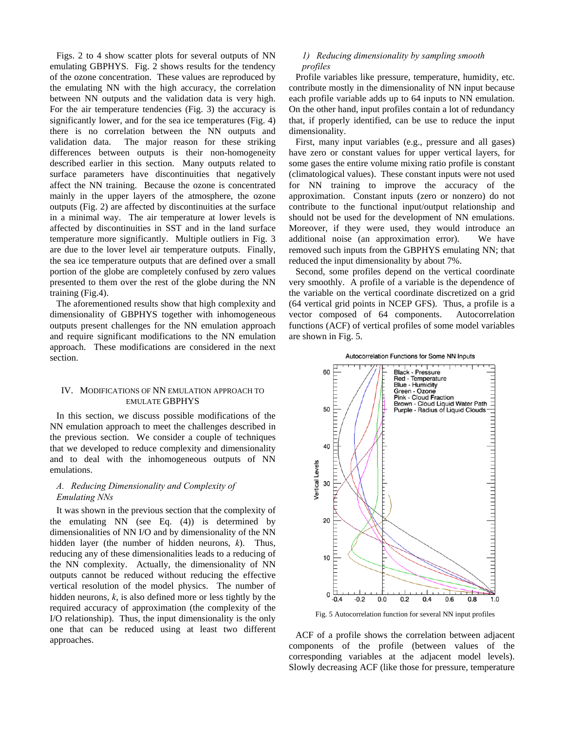Figs. 2 to 4 show scatter plots for several outputs of NN emulating GBPHYS. Fig. 2 shows results for the tendency of the ozone concentration. These values are reproduced by the emulating NN with the high accuracy, the correlation between NN outputs and the validation data is very high. For the air temperature tendencies (Fig. 3) the accuracy is significantly lower, and for the sea ice temperatures (Fig. 4) there is no correlation between the NN outputs and validation data. The major reason for these striking differences between outputs is their non-homogeneity described earlier in this section. Many outputs related to surface parameters have discontinuities that negatively affect the NN training. Because the ozone is concentrated mainly in the upper layers of the atmosphere, the ozone outputs (Fig. 2) are affected by discontinuities at the surface in a minimal way. The air temperature at lower levels is affected by discontinuities in SST and in the land surface temperature more significantly. Multiple outliers in Fig. 3 are due to the lover level air temperature outputs. Finally, the sea ice temperature outputs that are defined over a small portion of the globe are completely confused by zero values presented to them over the rest of the globe during the NN training (Fig.4).

The aforementioned results show that high complexity and dimensionality of GBPHYS together with inhomogeneous outputs present challenges for the NN emulation approach and require significant modifications to the NN emulation approach. These modifications are considered in the next section.

## IV. MODIFICATIONS OF NN EMULATION APPROACH TO EMULATE GBPHYS

In this section, we discuss possible modifications of the NN emulation approach to meet the challenges described in the previous section. We consider a couple of techniques that we developed to reduce complexity and dimensionality and to deal with the inhomogeneous outputs of NN emulations.

# *A. Reducing Dimensionality and Complexity of Emulating NNs*

It was shown in the previous section that the complexity of the emulating NN (see Eq. (4)) is determined by dimensionalities of NN I/O and by dimensionality of the NN hidden layer (the number of hidden neurons, *k*). Thus, reducing any of these dimensionalities leads to a reducing of the NN complexity. Actually, the dimensionality of NN outputs cannot be reduced without reducing the effective vertical resolution of the model physics. The number of hidden neurons, *k*, is also defined more or less tightly by the required accuracy of approximation (the complexity of the I/O relationship). Thus, the input dimensionality is the only one that can be reduced using at least two different approaches.

## *1) Reducing dimensionality by sampling smooth profiles*

Profile variables like pressure, temperature, humidity, etc. contribute mostly in the dimensionality of NN input because each profile variable adds up to 64 inputs to NN emulation. On the other hand, input profiles contain a lot of redundancy that, if properly identified, can be use to reduce the input dimensionality.

First, many input variables (e.g., pressure and all gases) have zero or constant values for upper vertical layers, for some gases the entire volume mixing ratio profile is constant (climatological values). These constant inputs were not used for NN training to improve the accuracy of the approximation. Constant inputs (zero or nonzero) do not contribute to the functional input/output relationship and should not be used for the development of NN emulations. Moreover, if they were used, they would introduce an additional noise (an approximation error). We have removed such inputs from the GBPHYS emulating NN; that reduced the input dimensionality by about 7%.

Second, some profiles depend on the vertical coordinate very smoothly. A profile of a variable is the dependence of the variable on the vertical coordinate discretized on a grid (64 vertical grid points in NCEP GFS). Thus, a profile is a vector composed of 64 components. Autocorrelation functions (ACF) of vertical profiles of some model variables are shown in Fig. 5.





Fig. 5 Autocorrelation function for several NN input profiles

ACF of a profile shows the correlation between adjacent components of the profile (between values of the corresponding variables at the adjacent model levels). Slowly decreasing ACF (like those for pressure, temperature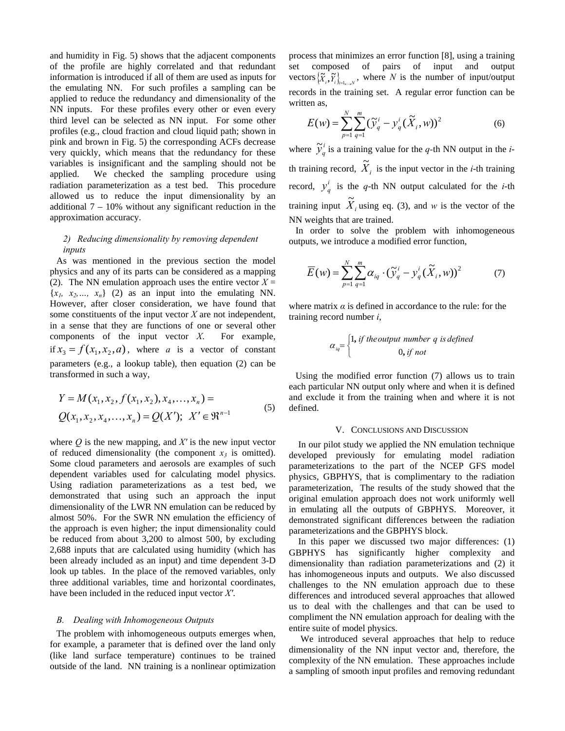and humidity in Fig. 5) shows that the adjacent components of the profile are highly correlated and that redundant information is introduced if all of them are used as inputs for the emulating NN. For such profiles a sampling can be applied to reduce the redundancy and dimensionality of the NN inputs. For these profiles every other or even every third level can be selected as NN input. For some other profiles (e.g., cloud fraction and cloud liquid path; shown in pink and brown in Fig. 5) the corresponding ACFs decrease very quickly, which means that the redundancy for these variables is insignificant and the sampling should not be applied. We checked the sampling procedure using radiation parameterization as a test bed. This procedure allowed us to reduce the input dimensionality by an additional  $7 - 10\%$  without any significant reduction in the approximation accuracy.

# *2) Reducing dimensionality by removing dependent inputs*

As was mentioned in the previous section the model physics and any of its parts can be considered as a mapping (2). The NN emulation approach uses the entire vector  $X =$  ${x_1, x_2,..., x_n}$  (2) as an input into the emulating NN. However, after closer consideration, we have found that some constituents of the input vector *X* are not independent, in a sense that they are functions of one or several other components of the input vector *X*. For example, if  $x_3 = f(x_1, x_2, a)$ , where *a* is a vector of constant parameters (e.g., a lookup table), then equation (2) can be transformed in such a way,

$$
Y = M(x_1, x_2, f(x_1, x_2), x_4, ..., x_n) =
$$
  
 
$$
Q(x_1, x_2, x_4, ..., x_n) = Q(X'); X' \in \mathbb{R}^{n-1}
$$
 (5)

where  $Q$  is the new mapping, and  $X'$  is the new input vector of reduced dimensionality (the component  $x_3$  is omitted). Some cloud parameters and aerosols are examples of such dependent variables used for calculating model physics. Using radiation parameterizations as a test bed, we demonstrated that using such an approach the input dimensionality of the LWR NN emulation can be reduced by almost 50%. For the SWR NN emulation the efficiency of the approach is even higher; the input dimensionality could be reduced from about 3,200 to almost 500, by excluding 2,688 inputs that are calculated using humidity (which has been already included as an input) and time dependent 3-D look up tables. In the place of the removed variables, only three additional variables, time and horizontal coordinates, have been included in the reduced input vector *X′*.

#### *B. Dealing with Inhomogeneous Outputs*

The problem with inhomogeneous outputs emerges when, for example, a parameter that is defined over the land only (like land surface temperature) continues to be trained outside of the land. NN training is a nonlinear optimization process that minimizes an error function [8], using a training set composed of pairs of input and output vectors  $\{\widetilde{X}_i, \widetilde{Y}_i\}_{i=1,\dots,N}$ , where *N* is the number of input/output records in the training set. A regular error function can be written as,

$$
E(w) = \sum_{p=1}^{N} \sum_{q=1}^{m} (\tilde{y}_q^i - y_q^i (\tilde{X}_i, w))^2
$$
 (6)

where  $\tilde{y}_q^i$  is a training value for the *q*-th NN output in the *i*th training record,  $\widetilde{X}_i$  is the input vector in the *i*-th training record,  $y_q^i$  is the *q*-th NN output calculated for the *i*-th training input  $\widetilde{X}_i$  using eq. (3), and *w* is the vector of the NN weights that are trained.

In order to solve the problem with inhomogeneous outputs, we introduce a modified error function,

$$
\overline{E}(w) = \sum_{p=1}^{N} \sum_{q=1}^{m} \alpha_{iq} \cdot (\widetilde{y}_{q}^{i} - y_{q}^{i} (\widetilde{X}_{i}, w))^{2}
$$
(7)

where matrix  $\alpha$  is defined in accordance to the rule: for the training record number *i*,

$$
\alpha_{iq} = \begin{cases} 1, & \text{if the output number } q \text{ is defined} \\ 0, & \text{if not} \end{cases}
$$

Using the modified error function (7) allows us to train each particular NN output only where and when it is defined and exclude it from the training when and where it is not defined.

#### V. CONCLUSIONS AND DISCUSSION

In our pilot study we applied the NN emulation technique developed previously for emulating model radiation parameterizations to the part of the NCEP GFS model physics, GBPHYS, that is complimentary to the radiation parameterization, The results of the study showed that the original emulation approach does not work uniformly well in emulating all the outputs of GBPHYS. Moreover, it demonstrated significant differences between the radiation parameterizations and the GBPHYS block.

In this paper we discussed two major differences: (1) GBPHYS has significantly higher complexity and dimensionality than radiation parameterizations and (2) it has inhomogeneous inputs and outputs. We also discussed challenges to the NN emulation approach due to these differences and introduced several approaches that allowed us to deal with the challenges and that can be used to compliment the NN emulation approach for dealing with the entire suite of model physics.

 We introduced several approaches that help to reduce dimensionality of the NN input vector and, therefore, the complexity of the NN emulation. These approaches include a sampling of smooth input profiles and removing redundant